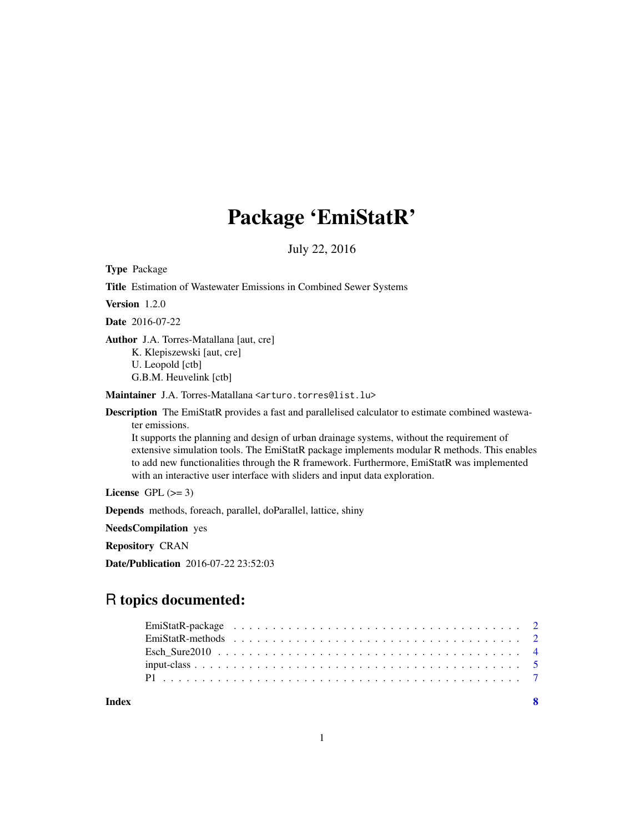# Package 'EmiStatR'

July 22, 2016

Type Package

| Title Estimation of Wastewater Emissions in Combined Sewer Systems                                                                                                                                                                                                                                                                                                                                                                                                                                  |
|-----------------------------------------------------------------------------------------------------------------------------------------------------------------------------------------------------------------------------------------------------------------------------------------------------------------------------------------------------------------------------------------------------------------------------------------------------------------------------------------------------|
| <b>Version</b> $1.2.0$                                                                                                                                                                                                                                                                                                                                                                                                                                                                              |
| <b>Date</b> 2016-07-22                                                                                                                                                                                                                                                                                                                                                                                                                                                                              |
| <b>Author</b> J.A. Torres-Matallana [aut, cre]<br>K. Klepiszewski [aut, cre]<br>U. Leopold [ctb]<br>G.B.M. Heuvelink [ctb]                                                                                                                                                                                                                                                                                                                                                                          |
| Maintainer J.A. Torres-Matallana <arturo.torres@list.lu></arturo.torres@list.lu>                                                                                                                                                                                                                                                                                                                                                                                                                    |
| <b>Description</b> The EmiStatR provides a fast and parallelised calculator to estimate combined wastewa-<br>ter emissions.<br>It supports the planning and design of urban drainage systems, without the requirement of<br>extensive simulation tools. The EmiStatR package implements modular R methods. This enables<br>to add new functionalities through the R framework. Furthermore, EmiStatR was implemented<br>with an interactive user interface with sliders and input data exploration. |
| License GPL $(>= 3)$                                                                                                                                                                                                                                                                                                                                                                                                                                                                                |
| <b>Depends</b> methods, foreach, parallel, doParallel, lattice, shiny                                                                                                                                                                                                                                                                                                                                                                                                                               |
| <b>NeedsCompilation</b> yes                                                                                                                                                                                                                                                                                                                                                                                                                                                                         |
| <b>Repository CRAN</b>                                                                                                                                                                                                                                                                                                                                                                                                                                                                              |
| <b>Date/Publication</b> 2016-07-22 23:52:03                                                                                                                                                                                                                                                                                                                                                                                                                                                         |

# R topics documented:

**Index** [8](#page-7-0) **8**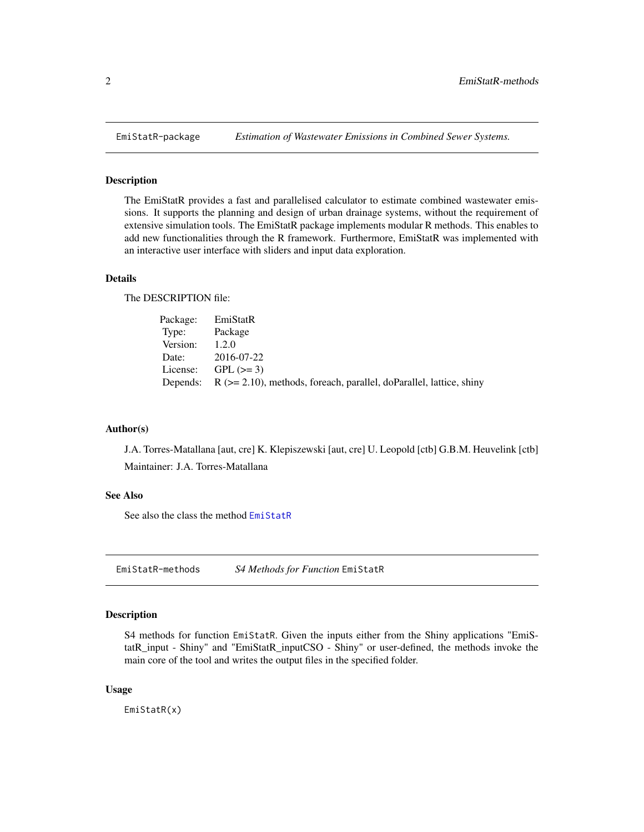<span id="page-1-0"></span>

# Description

The EmiStatR provides a fast and parallelised calculator to estimate combined wastewater emissions. It supports the planning and design of urban drainage systems, without the requirement of extensive simulation tools. The EmiStatR package implements modular R methods. This enables to add new functionalities through the R framework. Furthermore, EmiStatR was implemented with an interactive user interface with sliders and input data exploration.

# Details

The DESCRIPTION file:

|               | Package: EmiStatR                                                                  |
|---------------|------------------------------------------------------------------------------------|
| Type: Package |                                                                                    |
| Version:      | 1.2.0                                                                              |
|               | Date: 2016-07-22                                                                   |
|               | License: $GPL (> = 3)$                                                             |
|               | Depends: $R$ ( $>= 2.10$ ), methods, foreach, parallel, doParallel, lattice, shiny |

#### Author(s)

J.A. Torres-Matallana [aut, cre] K. Klepiszewski [aut, cre] U. Leopold [ctb] G.B.M. Heuvelink [ctb] Maintainer: J.A. Torres-Matallana

# See Also

See also the class the method [EmiStatR](#page-1-1)

EmiStatR-methods *S4 Methods for Function* EmiStatR

#### <span id="page-1-1"></span>Description

S4 methods for function EmiStatR. Given the inputs either from the Shiny applications "EmiStatR\_input - Shiny" and "EmiStatR\_inputCSO - Shiny" or user-defined, the methods invoke the main core of the tool and writes the output files in the specified folder.

# Usage

EmiStatR(x)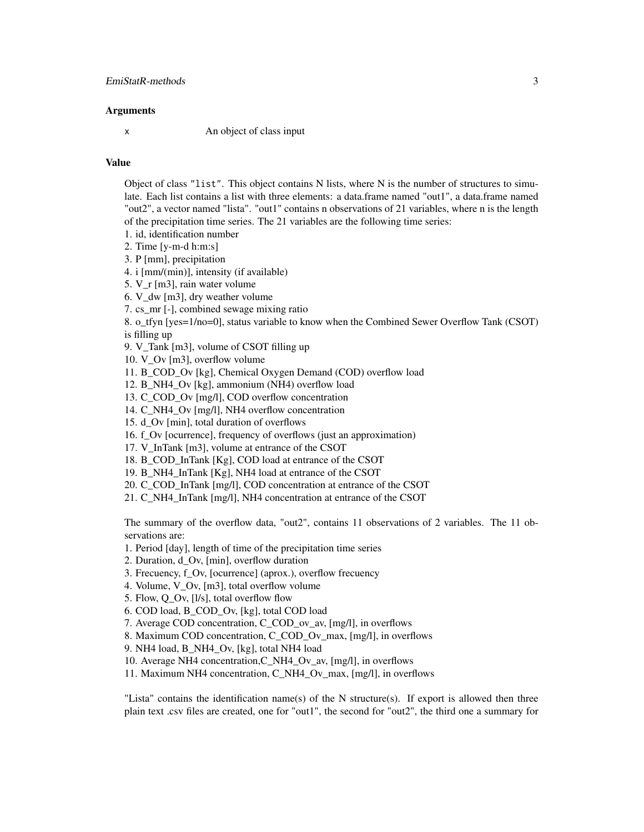# **Arguments**

x An object of class input

#### Value

Object of class "list". This object contains N lists, where N is the number of structures to simulate. Each list contains a list with three elements: a data.frame named "out1", a data.frame named "out2", a vector named "lista". "out1" contains n observations of 21 variables, where n is the length of the precipitation time series. The 21 variables are the following time series:

- 1. id, identification number
- 2. Time [y-m-d h:m:s]
- 3. P [mm], precipitation

4. i [mm/(min)], intensity (if available)

- 5. V\_r [m3], rain water volume
- 6. V\_dw [m3], dry weather volume
- 7. cs\_mr [-], combined sewage mixing ratio

8. o tfyn [yes=1/no=0], status variable to know when the Combined Sewer Overflow Tank (CSOT) is filling up

- 9. V\_Tank [m3], volume of CSOT filling up
- 10. V\_Ov [m3], overflow volume
- 11. B\_COD\_Ov [kg], Chemical Oxygen Demand (COD) overflow load

12. B\_NH4\_Ov [kg], ammonium (NH4) overflow load

- 13. C\_COD\_Ov [mg/l], COD overflow concentration
- 14. C\_NH4\_Ov [mg/l], NH4 overflow concentration
- 15. d\_Ov [min], total duration of overflows
- 16. f. Ov [ocurrence], frequency of overflows (just an approximation)
- 17. V\_InTank [m3], volume at entrance of the CSOT
- 18. B COD InTank [Kg], COD load at entrance of the CSOT
- 19. B\_NH4\_InTank [Kg], NH4 load at entrance of the CSOT
- 20. C\_COD\_InTank [mg/l], COD concentration at entrance of the CSOT
- 21. C\_NH4\_InTank [mg/l], NH4 concentration at entrance of the CSOT

The summary of the overflow data, "out2", contains 11 observations of 2 variables. The 11 observations are:

- 1. Period [day], length of time of the precipitation time series
- 2. Duration, d\_Ov, [min], overflow duration
- 3. Frecuency, f\_Ov, [ocurrence] (aprox.), overflow frecuency
- 4. Volume, V\_Ov, [m3], total overflow volume
- 5. Flow, Q\_Ov, [l/s], total overflow flow
- 6. COD load, B\_COD\_Ov, [kg], total COD load
- 7. Average COD concentration, C\_COD\_ov\_av, [mg/l], in overflows
- 8. Maximum COD concentration, C\_COD\_Ov\_max, [mg/l], in overflows
- 9. NH4 load, B\_NH4\_Ov, [kg], total NH4 load
- 10. Average NH4 concentration,C\_NH4\_Ov\_av, [mg/l], in overflows
- 11. Maximum NH4 concentration, C\_NH4\_Ov\_max, [mg/l], in overflows

"Lista" contains the identification name(s) of the N structure(s). If export is allowed then three plain text .csv files are created, one for "out1", the second for "out2", the third one a summary for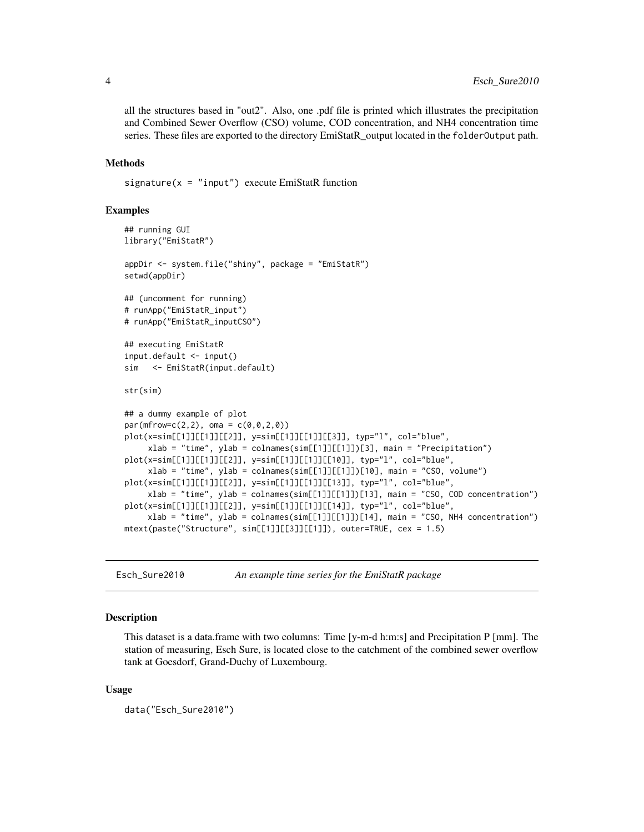all the structures based in "out2". Also, one .pdf file is printed which illustrates the precipitation and Combined Sewer Overflow (CSO) volume, COD concentration, and NH4 concentration time series. These files are exported to the directory EmiStatR\_output located in the folderOutput path.

# Methods

 $signature(x = "input")$  execute EmiStatR function

#### Examples

```
## running GUI
library("EmiStatR")
appDir <- system.file("shiny", package = "EmiStatR")
setwd(appDir)
## (uncomment for running)
# runApp("EmiStatR_input")
# runApp("EmiStatR_inputCSO")
## executing EmiStatR
input.default <- input()
sim <- EmiStatR(input.default)
str(sim)
## a dummy example of plot
par(mfrow=c(2,2), \text{ oma} = c(0,0,2,0))plot(x=sim[[1]][[1]][[2]], y=sim[[1]][[1]][[3]], typ="l", col="blue",
     xlab = "time", ylab = colnames(sim[[1]][[1]])[3], main = "Precipitation")
plot(x=sim[[1]][[1]][[2]], y=sim[[1]][[1]][[10]], typ="l", col="blue",
     xlab = "time", ylab = colnames(sin[[1]][[1]])[10], main = "CSO, volume")plot(x=sim[[1]][[1]][[2]], y=sim[[1]][[1]][[13]], typ="l", col="blue",
     xlab = "time", ylab = colnames(sim[[1]][[1]])[13], main = "CSO, COD concentration")
plot(x=sim[[1]][[1]][[2]], y=sim[[1]][[1]][[14]], typ="l", col="blue",
     xlab = "time", ylab = colnames(sim[[1]][[1]])[14], main = "CSO, NH4 concentration")
mtext(paste("Structure", sim[[1]][[3]][[1]]), outer=TRUE, cex = 1.5)
```
Esch\_Sure2010 *An example time series for the EmiStatR package*

#### Description

This dataset is a data.frame with two columns: Time [y-m-d h:m:s] and Precipitation P [mm]. The station of measuring, Esch Sure, is located close to the catchment of the combined sewer overflow tank at Goesdorf, Grand-Duchy of Luxembourg.

#### Usage

```
data("Esch_Sure2010")
```
<span id="page-3-0"></span>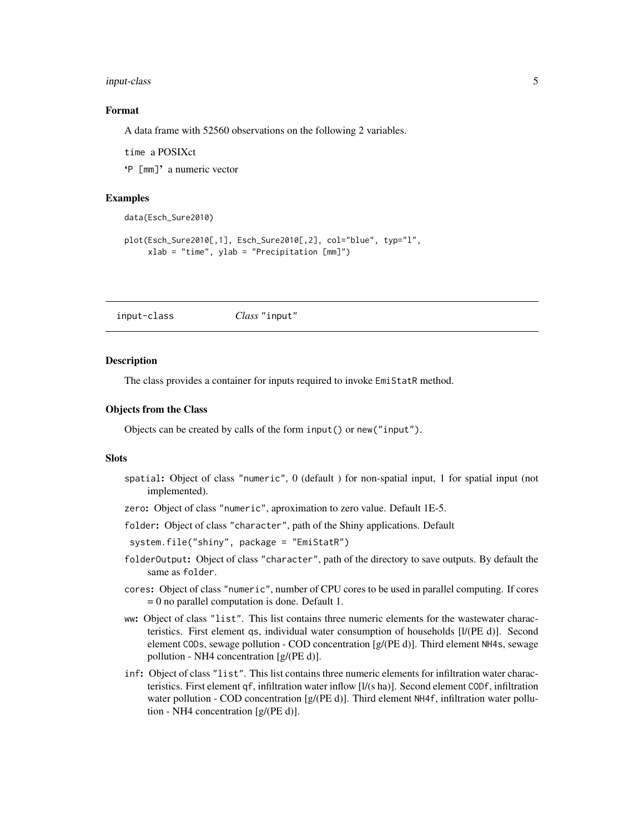#### <span id="page-4-0"></span>input-class 5

# Format

A data frame with 52560 observations on the following 2 variables.

time a POSIXct

'P [mm]' a numeric vector

#### Examples

```
data(Esch_Sure2010)
plot(Esch_Sure2010[,1], Esch_Sure2010[,2], col="blue", typ="l",
     xlab = "time", ylab = "Precipitation [mm]")
```
input-class *Class* "input"

#### **Description**

The class provides a container for inputs required to invoke EmiStatR method.

#### Objects from the Class

Objects can be created by calls of the form input() or new("input").

#### **Slots**

- spatial: Object of class "numeric", 0 (default ) for non-spatial input, 1 for spatial input (not implemented).
- zero: Object of class "numeric", aproximation to zero value. Default 1E-5.
- folder: Object of class "character", path of the Shiny applications. Default

system.file("shiny", package = "EmiStatR")

- folderOutput: Object of class "character", path of the directory to save outputs. By default the same as folder.
- cores: Object of class "numeric", number of CPU cores to be used in parallel computing. If cores = 0 no parallel computation is done. Default 1.
- ww: Object of class "list". This list contains three numeric elements for the wastewater characteristics. First element qs, individual water consumption of households [l/(PE d)]. Second element CODs, sewage pollution - COD concentration [g/(PE d)]. Third element NH4s, sewage pollution - NH4 concentration [g/(PE d)].
- inf: Object of class "list". This list contains three numeric elements for infiltration water characteristics. First element qf, infiltration water inflow [l/(s ha)]. Second element CODf, infiltration water pollution - COD concentration [g/(PE d)]. Third element NH4f, infiltration water pollution - NH4 concentration [g/(PE d)].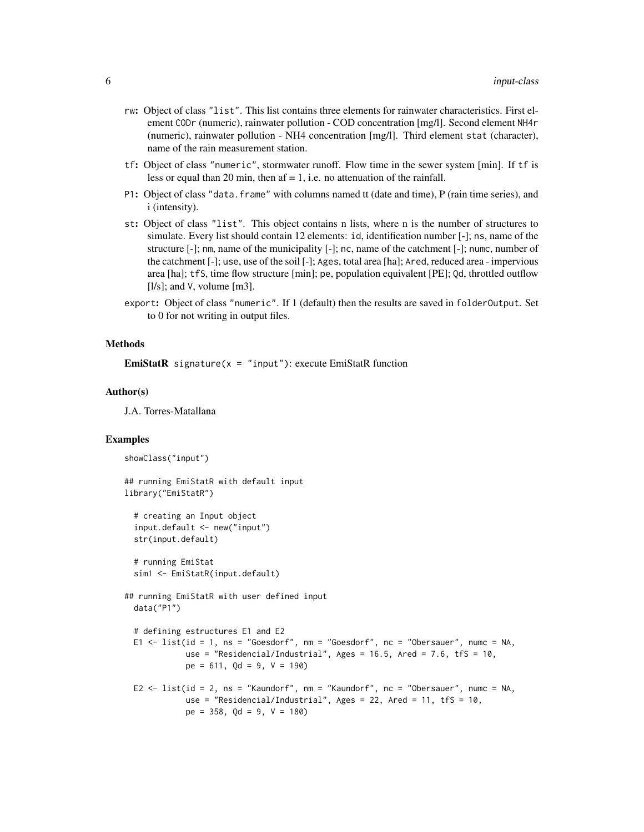- rw: Object of class "list". This list contains three elements for rainwater characteristics. First element CODr (numeric), rainwater pollution - COD concentration [mg/l]. Second element NH4r (numeric), rainwater pollution - NH4 concentration [mg/l]. Third element stat (character), name of the rain measurement station.
- tf: Object of class "numeric", stormwater runoff. Flow time in the sewer system [min]. If tf is less or equal than 20 min, then  $af = 1$ , i.e. no attenuation of the rainfall.
- P1: Object of class "data.frame" with columns named tt (date and time), P (rain time series), and i (intensity).
- st: Object of class "list". This object contains n lists, where n is the number of structures to simulate. Every list should contain 12 elements: id, identification number [-]; ns, name of the structure [-]; nm, name of the municipality [-]; nc, name of the catchment [-]; numc, number of the catchment [-]; use, use of the soil [-]; Ages, total area [ha]; Ared, reduced area - impervious area [ha]; tfS, time flow structure [min]; pe, population equivalent [PE]; Qd, throttled outflow [ $l/s$ ]; and V, volume [ $m3$ ].
- export: Object of class "numeric". If 1 (default) then the results are saved in folderOutput. Set to 0 for not writing in output files.

# Methods

**EmiStatR** signature( $x =$  "input"): execute EmiStatR function

#### Author(s)

J.A. Torres-Matallana

# Examples

```
showClass("input")
```

```
## running EmiStatR with default input
library("EmiStatR")
```

```
# creating an Input object
input.default <- new("input")
str(input.default)
```

```
# running EmiStat
sim1 <- EmiStatR(input.default)
```

```
## running EmiStatR with user defined input
 data("P1")
```

```
# defining estructures E1 and E2
E1 <- list(id = 1, ns = "Goesdorf", nm = "Goesdorf", nc = "Obersauer", numc = NA,
           use = "Residencial/Industrial", Ages = 16.5, Ared = 7.6, tfS = 10,
           pe = 611, Qd = 9, V = 190
```

```
E2 <- list(id = 2, ns = "Kaundorf", nm = "Kaundorf", nc = "Obersauer", numc = NA,
           use = "Residencial/Industrial", Ages = 22, Ared = 11, tfS = 10,
           pe = 358, Qd = 9, V = 180
```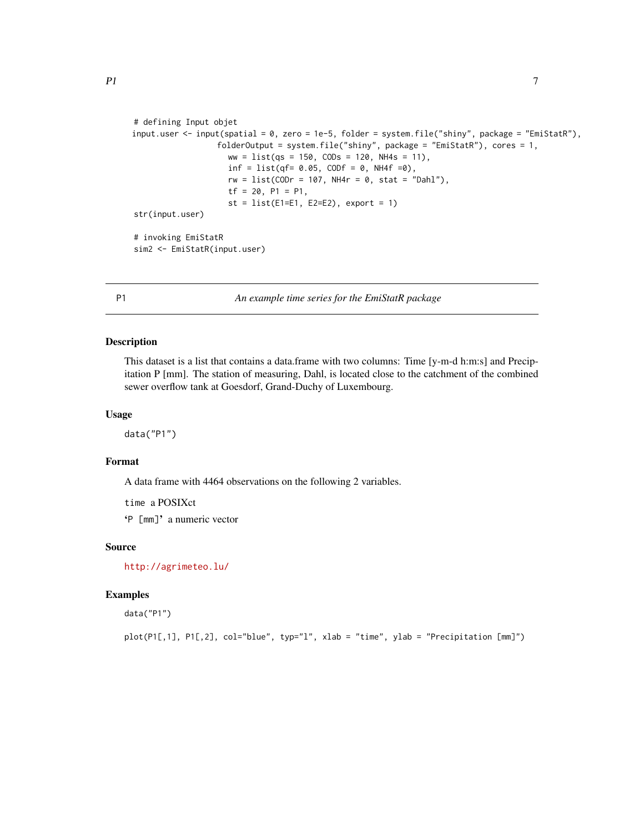```
# defining Input objet
input.user <- input(spatial = 0, zero = 1e-5, folder = system.file("shiny", package = "EmiStatR"),
                  folderOutput = system.file("shiny", package = "EmiStatR"), cores = 1,
                    ww = list(qs = 150, CODs = 120, NH4s = 11),inf = list(qf = 0.05, CODF = 0, NH4f = 0),rw = list(CODr = 107, NH4r = 0, stat = "Dahl"),tf = 20, P1 = P1,
                    st = list(E1=E1, E2=E2), export = 1)str(input.user)
# invoking EmiStatR
sim2 <- EmiStatR(input.user)
```
P1 *An example time series for the EmiStatR package*

# Description

This dataset is a list that contains a data.frame with two columns: Time [y-m-d h:m:s] and Precipitation P [mm]. The station of measuring, Dahl, is located close to the catchment of the combined sewer overflow tank at Goesdorf, Grand-Duchy of Luxembourg.

# Usage

data("P1")

# Format

A data frame with 4464 observations on the following 2 variables.

time a POSIXct

'P [mm]' a numeric vector

# Source

<http://agrimeteo.lu/>

# Examples

data("P1")

plot(P1[,1], P1[,2], col="blue", typ="l", xlab = "time", ylab = "Precipitation [mm]")